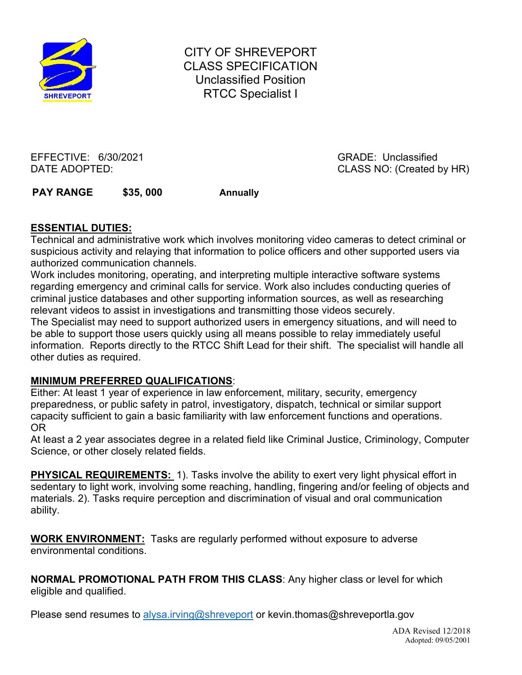

CITY OF SHREVEPORT CLASS SPECIFICATION Unclassified Position RTCC Specialist I

EFFECTIVE: 6/30/2021 GRADE: Unclassified

DATE ADOPTED: CLASS NO: (Created by HR)

PAY RANGE \$35, 000 Annually

## **ESSENTIAL DUTIES:**

Technical and administrative work which involves monitoring video cameras to detect criminal or suspicious activity and relaying that information to police officers and other supported users via authorized communication channels.

Work includes monitoring, operating, and interpreting multiple interactive software systems regarding emergency and criminal calls for service. Work also includes conducting queries of criminal justice databases and other supporting information sources, as well as researching relevant videos to assist in investigations and transmitting those videos securely.

The Specialist may need to support authorized users in emergency situations, and will need to be able to support those users quickly using all means possible to relay immediately useful information. Reports directly to the RTCC Shift Lead for their shift. The specialist will handle all other duties as required.

## **MINIMUM PREFERRED QUALIFICATIONS**:

Either: At least 1 year of experience in law enforcement, military, security, emergency preparedness, or public safety in patrol, investigatory, dispatch, technical or similar support capacity sufficient to gain a basic familiarity with law enforcement functions and operations. OR

At least a 2 year associates degree in a related field like Criminal Justice, Criminology, Computer Science, or other closely related fields.

**PHYSICAL REQUIREMENTS:** 1). Tasks involve the ability to exert very light physical effort in sedentary to light work, involving some reaching, handling, fingering and/or feeling of objects and materials. 2). Tasks require perception and discrimination of visual and oral communication ability.

**WORK ENVIRONMENT:** Tasks are regularly performed without exposure to adverse environmental conditions.

**NORMAL PROMOTIONAL PATH FROM THIS CLASS**: Any higher class or level for which eligible and qualified.

Please send resumes to [alysa.irving@shreveport](mailto:alysa.irving@shreveport) or kevin.thomas@shreveportla.gov